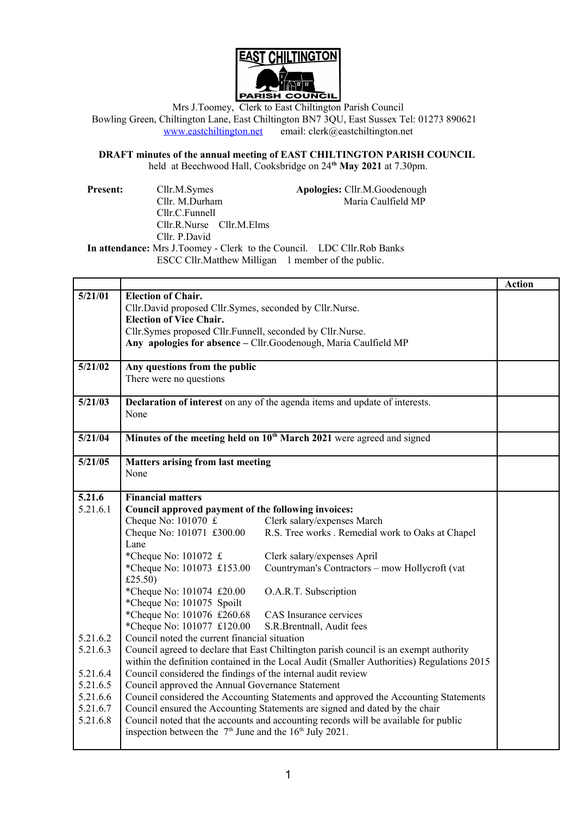

Mrs J.Toomey, Clerk to East Chiltington Parish Council Bowling Green, Chiltington Lane, East Chiltington BN7 3QU, East Sussex Tel: 01273 890621 [www.eastchiltington.net](http://www.eastchiltington.net/) email: clerk@eastchiltington.net

### **DRAFT minutes of the annual meeting of EAST CHILTINGTON PARISH COUNCIL** held at Beechwood Hall, Cooksbridge on 24**th May 2021** at 7.30pm.

| <b>Present:</b> | Cllr.M.Symes                 |  | Apologies: Cllr.M.Goodenough                                           |
|-----------------|------------------------------|--|------------------------------------------------------------------------|
|                 | Cllr. M.Durham               |  | Maria Caulfield MP                                                     |
|                 | Cllr.C.Funnell               |  |                                                                        |
|                 | $Cllr.R.Nurse$ $Cllr.M.Elms$ |  |                                                                        |
|                 | Cllr. P. David               |  |                                                                        |
|                 |                              |  | In attendance: Mrs J.Toomey - Clerk to the Council. LDC Cllr.Rob Banks |
|                 |                              |  | ESCC Cllr. Matthew Milligan 1 member of the public.                    |

|          |                                                                                           |                                                                                       | <b>Action</b> |  |  |
|----------|-------------------------------------------------------------------------------------------|---------------------------------------------------------------------------------------|---------------|--|--|
| 5/21/01  | <b>Election of Chair.</b>                                                                 |                                                                                       |               |  |  |
|          | Cllr.David proposed Cllr.Symes, seconded by Cllr.Nurse.                                   |                                                                                       |               |  |  |
|          | <b>Election of Vice Chair.</b>                                                            |                                                                                       |               |  |  |
|          | Cllr.Symes proposed Cllr.Funnell, seconded by Cllr.Nurse.                                 |                                                                                       |               |  |  |
|          | Any apologies for absence - Cllr. Goodenough, Maria Caulfield MP                          |                                                                                       |               |  |  |
|          |                                                                                           |                                                                                       |               |  |  |
| 5/21/02  | Any questions from the public                                                             |                                                                                       |               |  |  |
|          | There were no questions                                                                   |                                                                                       |               |  |  |
|          |                                                                                           |                                                                                       |               |  |  |
| 5/21/03  | Declaration of interest on any of the agenda items and update of interests.               |                                                                                       |               |  |  |
|          | None                                                                                      |                                                                                       |               |  |  |
|          |                                                                                           |                                                                                       |               |  |  |
| 5/21/04  | Minutes of the meeting held on 10 <sup>th</sup> March 2021 were agreed and signed         |                                                                                       |               |  |  |
|          |                                                                                           |                                                                                       |               |  |  |
| 5/21/05  | <b>Matters arising from last meeting</b>                                                  |                                                                                       |               |  |  |
|          | None                                                                                      |                                                                                       |               |  |  |
|          |                                                                                           |                                                                                       |               |  |  |
| 5.21.6   | <b>Financial matters</b>                                                                  |                                                                                       |               |  |  |
| 5.21.6.1 | Council approved payment of the following invoices:                                       |                                                                                       |               |  |  |
|          | Cheque No: $101070 \text{ } \text{£}$                                                     | Clerk salary/expenses March                                                           |               |  |  |
|          | Cheque No: 101071 £300.00                                                                 | R.S. Tree works . Remedial work to Oaks at Chapel                                     |               |  |  |
|          | Lane                                                                                      |                                                                                       |               |  |  |
|          | *Cheque No: 101072 £                                                                      | Clerk salary/expenses April                                                           |               |  |  |
|          | *Cheque No: 101073 £153.00                                                                | Countryman's Contractors - mow Hollycroft (vat                                        |               |  |  |
|          | £25.50)                                                                                   |                                                                                       |               |  |  |
|          | *Cheque No: 101074 £20.00                                                                 | O.A.R.T. Subscription                                                                 |               |  |  |
|          | *Cheque No: 101075 Spoilt                                                                 |                                                                                       |               |  |  |
|          | *Cheque No: 101076 £260.68                                                                | CAS Insurance cervices                                                                |               |  |  |
|          | *Cheque No: 101077 £120.00                                                                | S.R.Brentnall, Audit fees                                                             |               |  |  |
| 5.21.6.2 | Council noted the current financial situation                                             |                                                                                       |               |  |  |
| 5.21.6.3 |                                                                                           | Council agreed to declare that East Chiltington parish council is an exempt authority |               |  |  |
|          | within the definition contained in the Local Audit (Smaller Authorities) Regulations 2015 |                                                                                       |               |  |  |
| 5.21.6.4 | Council considered the findings of the internal audit review                              |                                                                                       |               |  |  |
| 5.21.6.5 | Council approved the Annual Governance Statement                                          |                                                                                       |               |  |  |
| 5.21.6.6 | Council considered the Accounting Statements and approved the Accounting Statements       |                                                                                       |               |  |  |
| 5.21.6.7 |                                                                                           | Council ensured the Accounting Statements are signed and dated by the chair           |               |  |  |
| 5.21.6.8 | Council noted that the accounts and accounting records will be available for public       |                                                                                       |               |  |  |
|          | inspection between the $7th$ June and the $16th$ July 2021.                               |                                                                                       |               |  |  |
|          |                                                                                           |                                                                                       |               |  |  |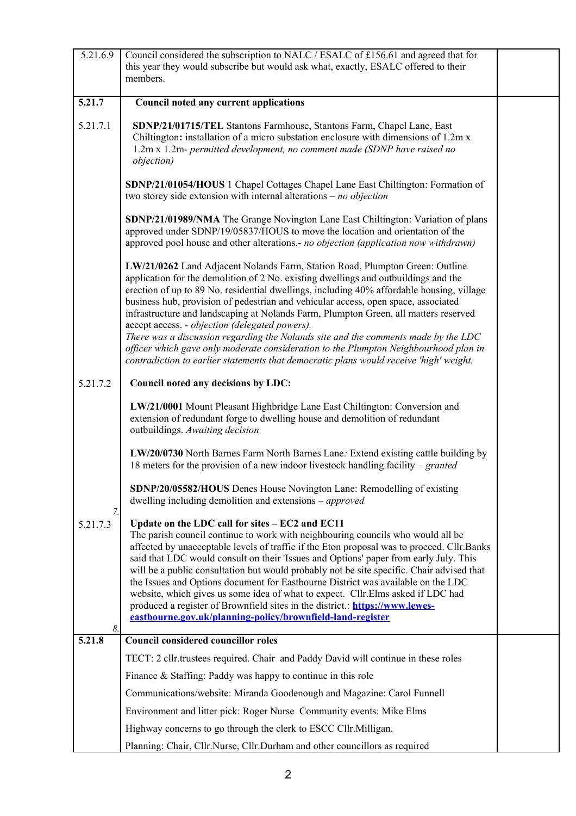| 5.21.6.9             | Council considered the subscription to NALC / ESALC of £156.61 and agreed that for<br>this year they would subscribe but would ask what, exactly, ESALC offered to their<br>members.                                                                                                                                                                                                                                                                                                                                                                                                                                                                                                                                                                                     |  |
|----------------------|--------------------------------------------------------------------------------------------------------------------------------------------------------------------------------------------------------------------------------------------------------------------------------------------------------------------------------------------------------------------------------------------------------------------------------------------------------------------------------------------------------------------------------------------------------------------------------------------------------------------------------------------------------------------------------------------------------------------------------------------------------------------------|--|
| 5.21.7               | Council noted any current applications                                                                                                                                                                                                                                                                                                                                                                                                                                                                                                                                                                                                                                                                                                                                   |  |
| 5.21.7.1             | SDNP/21/01715/TEL Stantons Farmhouse, Stantons Farm, Chapel Lane, East<br>Chiltington: installation of a micro substation enclosure with dimensions of 1.2m x<br>1.2m x 1.2m- permitted development, no comment made (SDNP have raised no<br><i>objection</i> )                                                                                                                                                                                                                                                                                                                                                                                                                                                                                                          |  |
|                      | SDNP/21/01054/HOUS 1 Chapel Cottages Chapel Lane East Chiltington: Formation of<br>two storey side extension with internal alterations $- no$ objection                                                                                                                                                                                                                                                                                                                                                                                                                                                                                                                                                                                                                  |  |
|                      | SDNP/21/01989/NMA The Grange Novington Lane East Chiltington: Variation of plans<br>approved under SDNP/19/05837/HOUS to move the location and orientation of the<br>approved pool house and other alterations.- no objection (application now withdrawn)                                                                                                                                                                                                                                                                                                                                                                                                                                                                                                                |  |
|                      | LW/21/0262 Land Adjacent Nolands Farm, Station Road, Plumpton Green: Outline<br>application for the demolition of 2 No. existing dwellings and outbuildings and the<br>erection of up to 89 No. residential dwellings, including 40% affordable housing, village<br>business hub, provision of pedestrian and vehicular access, open space, associated<br>infrastructure and landscaping at Nolands Farm, Plumpton Green, all matters reserved<br>accept access. - objection (delegated powers).<br>There was a discussion regarding the Nolands site and the comments made by the LDC<br>officer which gave only moderate consideration to the Plumpton Neighbourhood plan in<br>contradiction to earlier statements that democratic plans would receive 'high' weight. |  |
| 5.21.7.2             | Council noted any decisions by LDC:                                                                                                                                                                                                                                                                                                                                                                                                                                                                                                                                                                                                                                                                                                                                      |  |
|                      | LW/21/0001 Mount Pleasant Highbridge Lane East Chiltington: Conversion and<br>extension of redundant forge to dwelling house and demolition of redundant<br>outbuildings. Awaiting decision                                                                                                                                                                                                                                                                                                                                                                                                                                                                                                                                                                              |  |
|                      | LW/20/0730 North Barnes Farm North Barnes Lane: Extend existing cattle building by<br>18 meters for the provision of a new indoor livestock handling facility – granted                                                                                                                                                                                                                                                                                                                                                                                                                                                                                                                                                                                                  |  |
|                      | SDNP/20/05582/HOUS Denes House Novington Lane: Remodelling of existing<br>dwelling including demolition and extensions $-$ approved                                                                                                                                                                                                                                                                                                                                                                                                                                                                                                                                                                                                                                      |  |
| 7.<br>5.21.7.3<br>8. | Update on the LDC call for sites - EC2 and EC11<br>The parish council continue to work with neighbouring councils who would all be<br>affected by unacceptable levels of traffic if the Eton proposal was to proceed. Cllr. Banks<br>said that LDC would consult on their 'Issues and Options' paper from early July. This<br>will be a public consultation but would probably not be site specific. Chair advised that<br>the Issues and Options document for Eastbourne District was available on the LDC<br>website, which gives us some idea of what to expect. Cllr.Elms asked if LDC had<br>produced a register of Brownfield sites in the district.: https://www.lewes-<br>eastbourne.gov.uk/planning-policy/brownfield-land-register                             |  |
| 5.21.8               | <b>Council considered councillor roles</b>                                                                                                                                                                                                                                                                                                                                                                                                                                                                                                                                                                                                                                                                                                                               |  |
|                      | TECT: 2 cllr.trustees required. Chair and Paddy David will continue in these roles                                                                                                                                                                                                                                                                                                                                                                                                                                                                                                                                                                                                                                                                                       |  |
|                      | Finance $&$ Staffing: Paddy was happy to continue in this role                                                                                                                                                                                                                                                                                                                                                                                                                                                                                                                                                                                                                                                                                                           |  |
|                      | Communications/website: Miranda Goodenough and Magazine: Carol Funnell                                                                                                                                                                                                                                                                                                                                                                                                                                                                                                                                                                                                                                                                                                   |  |
|                      | Environment and litter pick: Roger Nurse Community events: Mike Elms                                                                                                                                                                                                                                                                                                                                                                                                                                                                                                                                                                                                                                                                                                     |  |
|                      | Highway concerns to go through the clerk to ESCC Cllr. Milligan.                                                                                                                                                                                                                                                                                                                                                                                                                                                                                                                                                                                                                                                                                                         |  |
|                      | Planning: Chair, Cllr.Nurse, Cllr.Durham and other councillors as required                                                                                                                                                                                                                                                                                                                                                                                                                                                                                                                                                                                                                                                                                               |  |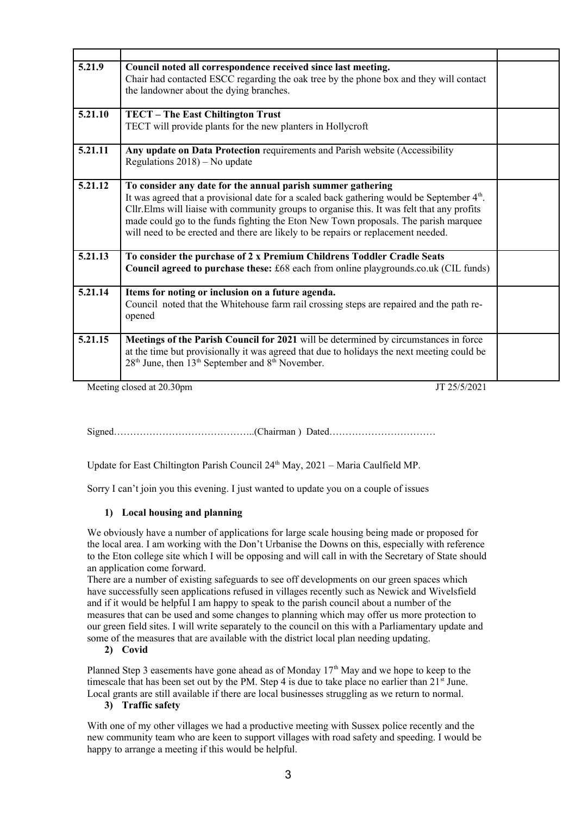| 5.21.9  | Council noted all correspondence received since last meeting.<br>Chair had contacted ESCC regarding the oak tree by the phone box and they will contact<br>the landowner about the dying branches.                                                                                                                                                                                                                                               |  |
|---------|--------------------------------------------------------------------------------------------------------------------------------------------------------------------------------------------------------------------------------------------------------------------------------------------------------------------------------------------------------------------------------------------------------------------------------------------------|--|
| 5.21.10 | TECT - The East Chiltington Trust<br>TECT will provide plants for the new planters in Hollycroft                                                                                                                                                                                                                                                                                                                                                 |  |
| 5.21.11 | Any update on Data Protection requirements and Parish website (Accessibility<br>Regulations 2018) - No update                                                                                                                                                                                                                                                                                                                                    |  |
| 5.21.12 | To consider any date for the annual parish summer gathering<br>It was agreed that a provisional date for a scaled back gathering would be September 4 <sup>th</sup> .<br>Cllr. Elms will liaise with community groups to organise this. It was felt that any profits<br>made could go to the funds fighting the Eton New Town proposals. The parish marquee<br>will need to be erected and there are likely to be repairs or replacement needed. |  |
| 5.21.13 | To consider the purchase of 2 x Premium Childrens Toddler Cradle Seats<br>Council agreed to purchase these: £68 each from online playgrounds.co.uk (CIL funds)                                                                                                                                                                                                                                                                                   |  |
| 5.21.14 | Items for noting or inclusion on a future agenda.<br>Council noted that the Whitehouse farm rail crossing steps are repaired and the path re-<br>opened                                                                                                                                                                                                                                                                                          |  |
| 5.21.15 | Meetings of the Parish Council for 2021 will be determined by circumstances in force<br>at the time but provisionally it was agreed that due to holidays the next meeting could be<br>28 <sup>th</sup> June, then 13 <sup>th</sup> September and 8 <sup>th</sup> November.                                                                                                                                                                       |  |

Meeting closed at 20.30pm JT 25/5/2021

Signed……………………………………..(Chairman ) Dated……………………………

Update for East Chiltington Parish Council  $24<sup>th</sup>$  May,  $2021$  – Maria Caulfield MP.

Sorry I can't join you this evening. I just wanted to update you on a couple of issues

# **1) Local housing and planning**

We obviously have a number of applications for large scale housing being made or proposed for the local area. I am working with the Don't Urbanise the Downs on this, especially with reference to the Eton college site which I will be opposing and will call in with the Secretary of State should an application come forward.

There are a number of existing safeguards to see off developments on our green spaces which have successfully seen applications refused in villages recently such as Newick and Wivelsfield and if it would be helpful I am happy to speak to the parish council about a number of the measures that can be used and some changes to planning which may offer us more protection to our green field sites. I will write separately to the council on this with a Parliamentary update and some of the measures that are available with the district local plan needing updating.

# **2) Covid**

Planned Step 3 easements have gone ahead as of Monday  $17<sup>th</sup>$  May and we hope to keep to the timescale that has been set out by the PM. Step 4 is due to take place no earlier than  $21<sup>st</sup>$  June. Local grants are still available if there are local businesses struggling as we return to normal.

#### **3) Traffic safety**

With one of my other villages we had a productive meeting with Sussex police recently and the new community team who are keen to support villages with road safety and speeding. I would be happy to arrange a meeting if this would be helpful.